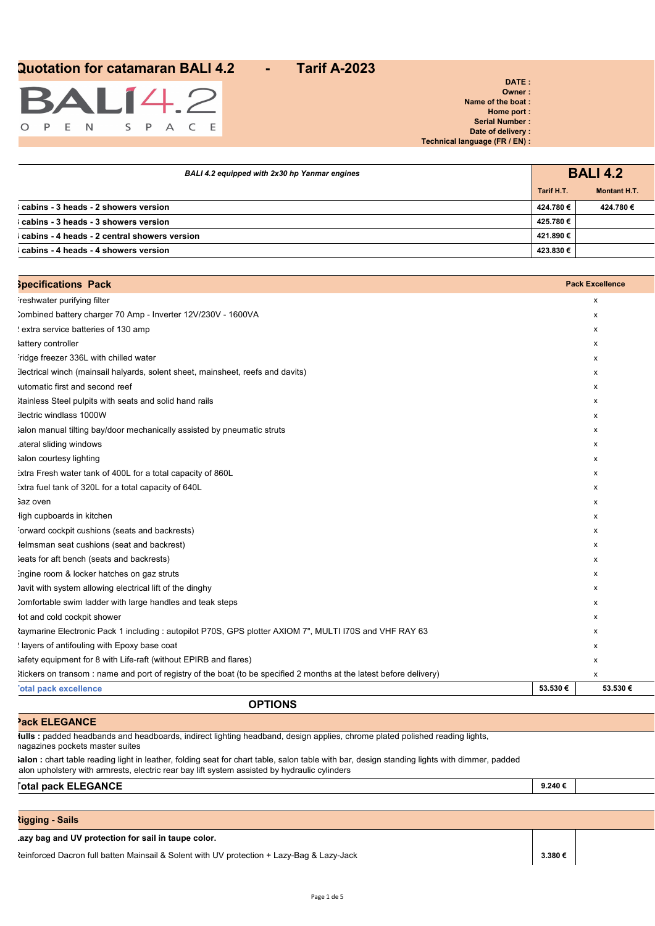

| BALI 4.2 equipped with 2x30 hp Yanmar engines |            | <b>BALI 4.2</b>     |
|-----------------------------------------------|------------|---------------------|
|                                               | Tarif H.T. | <b>Montant H.T.</b> |
| cabins - 3 heads - 2 showers version          | 424.780€   | 424.780€            |
| cabins - 3 heads - 3 showers version          | 425.780€   |                     |
| cabins - 4 heads - 2 central showers version  | 421.890 €  |                     |
| cabins - 4 heads - 4 showers version          | 423.830 €  |                     |

| <b>Specifications Pack</b>                                                                                          |         | <b>Pack Excellence</b> |
|---------------------------------------------------------------------------------------------------------------------|---------|------------------------|
| reshwater purifying filter                                                                                          |         | х                      |
| Combined battery charger 70 Amp - Inverter 12V/230V - 1600VA                                                        |         | х                      |
| extra service batteries of 130 amp                                                                                  |         | X                      |
| <b>lattery controller</b>                                                                                           |         | х                      |
| ridge freezer 336L with chilled water                                                                               |         | x                      |
| :lectrical winch (mainsail halyards, solent sheet, mainsheet, reefs and davits)                                     |         | х                      |
| utomatic first and second reef                                                                                      |         | х                      |
| Itainless Steel pulpits with seats and solid hand rails                                                             |         | х                      |
| :lectric windlass 1000W                                                                                             |         | x                      |
| lalon manual tilting bay/door mechanically assisted by pneumatic struts                                             |         | х                      |
| ateral sliding windows.                                                                                             |         | x                      |
| salon courtesy lighting                                                                                             |         | х                      |
| :xtra Fresh water tank of 400L for a total capacity of 860L                                                         |         | х                      |
| :xtra fuel tank of 320L for a total capacity of 640L                                                                |         | х                      |
| Gaz oven                                                                                                            |         | х                      |
| ligh cupboards in kitchen                                                                                           |         | x                      |
| orward cockpit cushions (seats and backrests)                                                                       |         | x                      |
| lelmsman seat cushions (seat and backrest)                                                                          |         | х                      |
| Seats for aft bench (seats and backrests)                                                                           |         | х                      |
| ingine room & locker hatches on gaz struts                                                                          |         | х                      |
| ) avit with system allowing electrical lift of the dinghy                                                           |         | х                      |
| Comfortable swim ladder with large handles and teak steps                                                           |         | x                      |
| lot and cold cockpit shower                                                                                         |         | x                      |
| Raymarine Electronic Pack 1 including : autopilot P70S, GPS plotter AXIOM 7", MULTI I70S and VHF RAY 63             |         | x                      |
| I layers of antifouling with Epoxy base coat                                                                        |         | х                      |
| Safety equipment for 8 with Life-raft (without EPIRB and flares)                                                    |         | х                      |
| itickers on transom: name and port of registry of the boat (to be specified 2 months at the latest before delivery) |         | x                      |
| otal pack excellence                                                                                                | 53.530€ | 53.530€                |

## **OPTIONS**

**Hulls :** padded headbands and headboards, indirect lighting headband, design applies, chrome plated polished reading lights, magazines pockets master suites

**Salon :** chart table reading light in leather, folding seat for chart table, salon table with bar, design standing lights with dimmer, padded alon upholstery with armrests, electric rear bay lift system assisted by hydraulic cylinders

**Total pack ELEGANCE 9.240 €**

**Pack ELEGANCE**

### **Rigging - Sails**

**Lazy bag and UV protection for sail in taupe color.**

Reinforced Dacron full batten Mainsail & Solent with UV protection + Lazy-Bag & Lazy-Jack **3.380 €**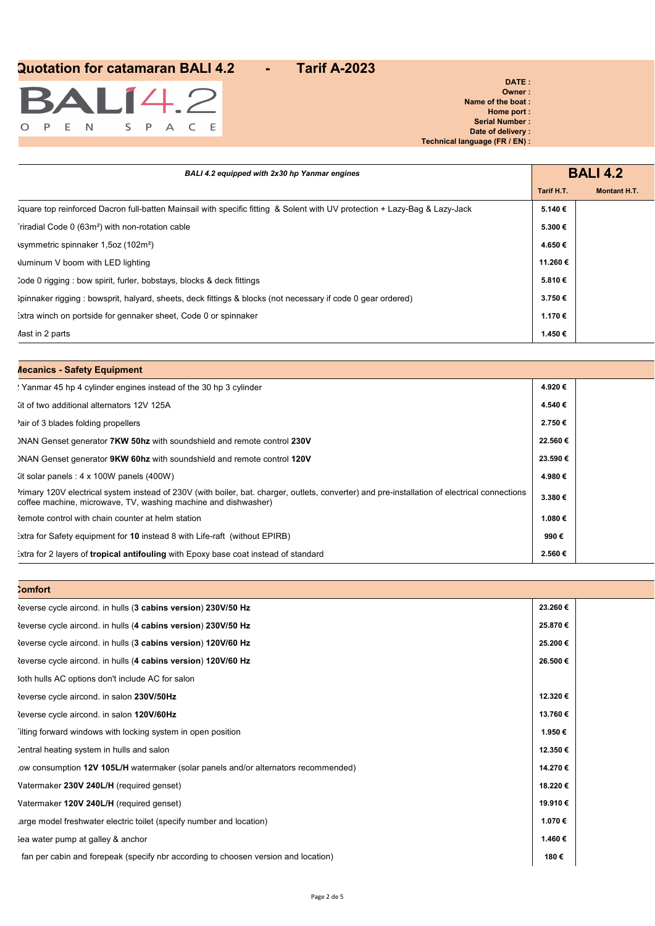

#### **DATE : Owner : Name of the boat : Home port : Serial Number : Date of delivery : Technical language (FR / EN) :**

| BALI 4.2 equipped with 2x30 hp Yanmar engines                                                                              |            | <b>BALI 4.2</b>     |
|----------------------------------------------------------------------------------------------------------------------------|------------|---------------------|
|                                                                                                                            | Tarif H.T. | <b>Montant H.T.</b> |
| 3quare top reinforced Dacron full-batten Mainsail with specific fitting & Solent with UV protection + Lazy-Bag & Lazy-Jack | 5.140€     |                     |
| riradial Code 0 (63m <sup>2</sup> ) with non-rotation cable                                                                | 5.300€     |                     |
| (102m <sup>2</sup> ) symmetric spinnaker 1,5oz (102m <sup>2</sup> )                                                        | 4.650€     |                     |
| suminum V boom with LED lighting                                                                                           | 11.260€    |                     |
| code 0 rigging : bow spirit, furler, bobstays, blocks & deck fittings                                                      | 5.810€     |                     |
| Spinnaker rigging: bowsprit, halyard, sheets, deck fittings & blocks (not necessary if code 0 gear ordered)                | 3.750€     |                     |
| : xtra winch on portside for gennaker sheet, Code 0 or spinnaker                                                           | 1.170€     |                     |
| Aast in 2 parts                                                                                                            | 1.450€     |                     |

### **Mecanics - Safety Equipment**

| ! Yanmar 45 hp 4 cylinder engines instead of the 30 hp 3 cylinder                                                                                                                                             | 4.920€  |  |
|---------------------------------------------------------------------------------------------------------------------------------------------------------------------------------------------------------------|---------|--|
| (it of two additional alternators 12V 125A)                                                                                                                                                                   | 4.540€  |  |
| 'air of 3 blades folding propellers'                                                                                                                                                                          | 2.750€  |  |
| )NAN Genset generator 7KW 50hz with soundshield and remote control 230V                                                                                                                                       | 22.560€ |  |
| )NAN Genset generator 9KW 60hz with soundshield and remote control 120V                                                                                                                                       | 23.590€ |  |
| $\left($ it solar panels : 4 x 100W panels (400W)                                                                                                                                                             | 4.980€  |  |
| Imary 120V electrical system instead of 230V (with boiler, bat. charger, outlets, converter) and pre-installation of electrical connections<br>coffee machine, microwave, TV, washing machine and dishwasher) | 3.380€  |  |
| Remote control with chain counter at helm station                                                                                                                                                             | 1.080€  |  |
| :xtra for Safety equipment for 10 instead 8 with Life-raft (without EPIRB)                                                                                                                                    | 990€    |  |
| Extra for 2 layers of <b>tropical antifouling</b> with Epoxy base coat instead of standard                                                                                                                    | 2.560€  |  |

| <b>Comfort</b>                                                                     |         |  |
|------------------------------------------------------------------------------------|---------|--|
| Reverse cycle aircond. in hulls (3 cabins version) 230V/50 Hz                      | 23.260€ |  |
| Reverse cycle aircond. in hulls (4 cabins version) 230V/50 Hz                      | 25.870€ |  |
| Reverse cycle aircond. in hulls (3 cabins version) 120V/60 Hz                      | 25.200€ |  |
| Reverse cycle aircond. in hulls (4 cabins version) 120V/60 Hz                      | 26.500€ |  |
| 30th hulls AC options don't include AC for salon                                   |         |  |
| Reverse cycle aircond. in salon 230V/50Hz                                          | 12.320€ |  |
| Reverse cycle aircond. in salon 120V/60Hz                                          | 13.760€ |  |
| ilting forward windows with locking system in open position                        | 1.950€  |  |
| Sentral heating system in hulls and salon                                          | 12.350€ |  |
| ow consumption 12V 105L/H watermaker (solar panels and/or alternators recommended) | 14.270€ |  |
| Vatermaker 230V 240L/H (required genset)                                           | 18.220€ |  |
| Vatermaker 120V 240L/H (required genset)                                           | 19.910€ |  |
| arge model freshwater electric toilet (specify number and location)                | 1.070€  |  |
| Sea water pump at galley & anchor                                                  | 1.460€  |  |
| fan per cabin and forepeak (specify nbr according to choosen version and location) | 180€    |  |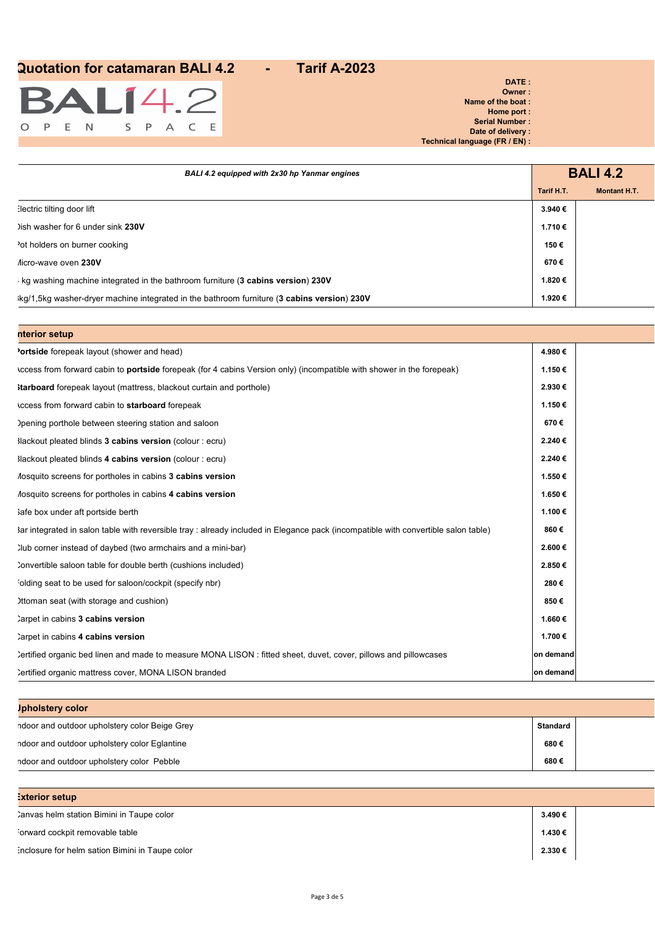

**DATE : Owner : Name of the boat : Home port : Serial Number : Date of delivery : Technical language (FR / EN) :**

| BALI 4.2 equipped with 2x30 hp Yanmar engines                                              | <b>BALI 4.2</b> |                     |
|--------------------------------------------------------------------------------------------|-----------------|---------------------|
|                                                                                            | Tarif H.T.      | <b>Montant H.T.</b> |
| lectric tilting door lift                                                                  | 3.940€          |                     |
| ) ish washer for 6 under sink 230V                                                         | 1.710€          |                     |
| ot holders on burner cooking                                                               | 150€            |                     |
| Aicro-wave oven 230V                                                                       | 670€            |                     |
| Kg washing machine integrated in the bathroom furniture (3 cabins version) 230V            | 1.820€          |                     |
| kg/1,5kg washer-dryer machine integrated in the bathroom furniture (3 cabins version) 230V | 1.920€          |                     |

| nterior setup                                                                                                                      |           |  |
|------------------------------------------------------------------------------------------------------------------------------------|-----------|--|
| <b>'ortside</b> forepeak layout (shower and head)                                                                                  | 4.980€    |  |
| (ccess from forward cabin to <b>portside</b> forepeak (for 4 cabins Version only) (incompatible with shower in the forepeak)       | 1.150€    |  |
| <b>Starboard</b> forepeak layout (mattress, blackout curtain and porthole)                                                         | 2.930€    |  |
| ccess from forward cabin to starboard forepeak                                                                                     | 1.150€    |  |
| ) pening porthole between steering station and saloon                                                                              | 670€      |  |
| Mackout pleated blinds 3 cabins version (colour : ecru)                                                                            | 2.240€    |  |
| Mackout pleated blinds 4 cabins version (colour : ecru)                                                                            | 2.240€    |  |
| Aosquito screens for portholes in cabins 3 cabins version                                                                          | 1.550€    |  |
| Aosquito screens for portholes in cabins 4 cabins version                                                                          | 1.650€    |  |
| lafe box under aft portside berth                                                                                                  | 1.100€    |  |
| Bar integrated in salon table with reversible tray : already included in Elegance pack (incompatible with convertible salon table) | 860€      |  |
| Iub corner instead of daybed (two armchairs and a mini-bar)                                                                        | 2.600 €   |  |
| Convertible saloon table for double berth (cushions included)                                                                      | 2.850€    |  |
| olding seat to be used for saloon/cockpit (specify nbr)                                                                            | 280€      |  |
| Ittoman seat (with storage and cushion)                                                                                            | 850€      |  |
| Carpet in cabins 3 cabins version                                                                                                  | 1.660€    |  |
| Carpet in cabins 4 cabins version                                                                                                  | 1.700 €   |  |
| Certified organic bed linen and made to measure MONA LISON: fitted sheet, duvet, cover, pillows and pillowcases                    | on demand |  |
| Certified organic mattress cover, MONA LISON branded                                                                               | on demand |  |

| <b>Jpholstery color</b>                       |          |  |
|-----------------------------------------------|----------|--|
| ndoor and outdoor upholstery color Beige Grey | Standard |  |
| ndoor and outdoor upholstery color Eglantine  | 680€     |  |
| ndoor and outdoor upholstery color Pebble     | 680€     |  |

| xterior setup                                   |         |
|-------------------------------------------------|---------|
| Canvas helm station Bimini in Taupe color       | 3.490€  |
| orward cockpit removable table                  | 1.430 € |
| inclosure for helm sation Bimini in Taupe color | 2.330€  |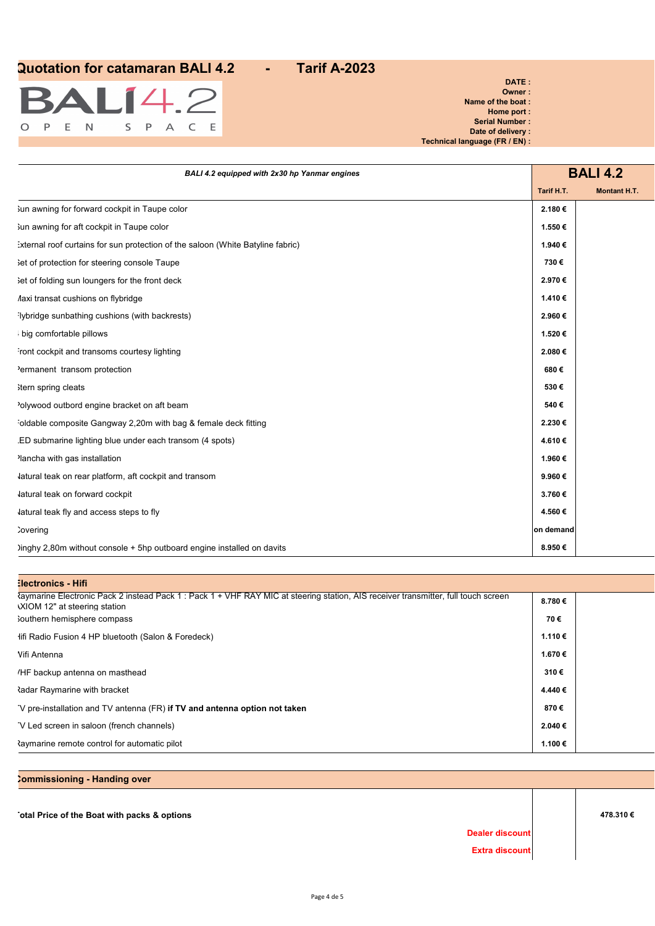

#### **DATE : Owner : Name of the boat : Home port : Serial Number : Date of delivery : Technical language (FR / EN) :**

| BALI 4.2 equipped with 2x30 hp Yanmar engines                                   |            | <b>BALI 4.2</b>     |
|---------------------------------------------------------------------------------|------------|---------------------|
|                                                                                 | Tarif H.T. | <b>Montant H.T.</b> |
| 3un awning for forward cockpit in Taupe color                                   | 2.180€     |                     |
| 3un awning for aft cockpit in Taupe color                                       | 1.550€     |                     |
| :xternal roof curtains for sun protection of the saloon (White Batyline fabric) | 1.940€     |                     |
| Set of protection for steering console Taupe                                    | 730€       |                     |
| set of folding sun loungers for the front deck                                  | 2.970€     |                     |
| laxi transat cushions on flybridge                                              | 1.410€     |                     |
| Iybridge sunbathing cushions (with backrests)                                   | 2.960€     |                     |
| big comfortable pillows                                                         | 1.520€     |                     |
| ront cockpit and transoms courtesy lighting                                     | 2.080€     |                     |
| 'ermanent transom protection                                                    | 680€       |                     |
| itern spring cleats                                                             | 530€       |                     |
| 'olywood outbord engine bracket on aft beam                                     | 540€       |                     |
| oldable composite Gangway 2,20m with bag & female deck fitting                  | 2.230€     |                     |
| .ED submarine lighting blue under each transom (4 spots)                        | 4.610€     |                     |
| lancha with gas installation                                                    | 1.960€     |                     |
| latural teak on rear platform, aft cockpit and transom                          | 9.960€     |                     |
| latural teak on forward cockpit                                                 | 3.760€     |                     |
| latural teak fly and access steps to fly                                        | 4.560€     |                     |
| <b>Covering</b>                                                                 | on demand  |                     |
| )inghy 2,80m without console + 5hp outboard engine installed on davits          | 8.950€     |                     |

## **Electronics - Hifi** Raymarine Electronic Pack 2 instead Pack 1 : Pack 1 + VHF RAY MIC at steering station, AIS receiver transmitter, full touch screen AXIOM 12" at steering station **8.780 €** Southern hemisphere compass **70 €** Hifi Radio Fusion 4 HP bluetooth (Salon & Foredeck) **1.110 €** Wifi Antenna **1.670 €** VHF backup antenna on masthead **310 €** Radar Raymarine with bracket **4.440 €** TV pre-installation and TV antenna (FR) **if TV and antenna option not taken 870 €** TV Led screen in saloon (french channels) **2.040 € Example 1.100** € **1.100** € **1.100** € **1.100** € **1.100** € **1.100** € **1.100** € **1.100** € **1.100** € **1.100** € **1.100** € **1.100** € **1.100** € **1.100** € **1.100** € **1.100** € **1.100** € **1.100** € **1.100** € **1.100** € **1.100** € **1.**

**Commissioning - Handing over Total Price of the Boat with packs & options 478.310 € Dealer discount Extra discount**